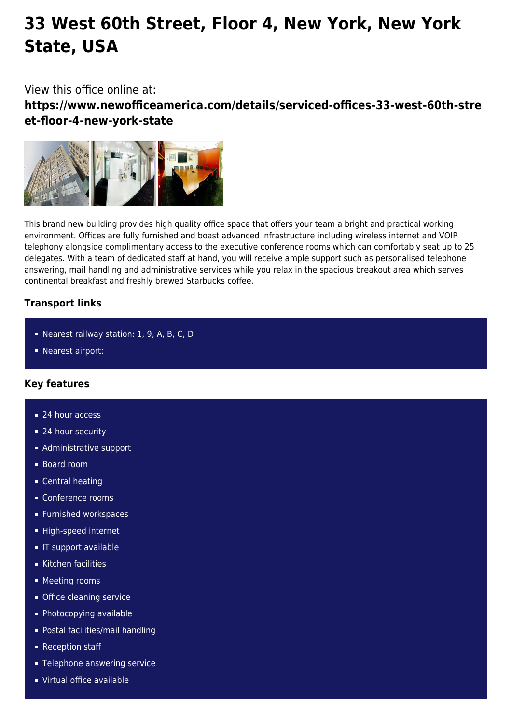# **33 West 60th Street, Floor 4, New York, New York State, USA**

View this office online at:

**https://www.newofficeamerica.com/details/serviced-offices-33-west-60th-stre et-floor-4-new-york-state**



This brand new building provides high quality office space that offers your team a bright and practical working environment. Offices are fully furnished and boast advanced infrastructure including wireless internet and VOIP telephony alongside complimentary access to the executive conference rooms which can comfortably seat up to 25 delegates. With a team of dedicated staff at hand, you will receive ample support such as personalised telephone answering, mail handling and administrative services while you relax in the spacious breakout area which serves continental breakfast and freshly brewed Starbucks coffee.

## **Transport links**

- Nearest railway station: 1, 9, A, B, C, D
- **Nearest airport:**

## **Key features**

- 24 hour access
- 24-hour security
- **Administrative support**
- Board room
- **Central heating**
- Conference rooms
- **Furnished workspaces**
- High-speed internet
- **IF support available**
- Kitchen facilities
- **Meeting rooms**
- **Office cleaning service**
- **Photocopying available**
- Postal facilities/mail handling
- Reception staff
- **Telephone answering service**
- Virtual office available